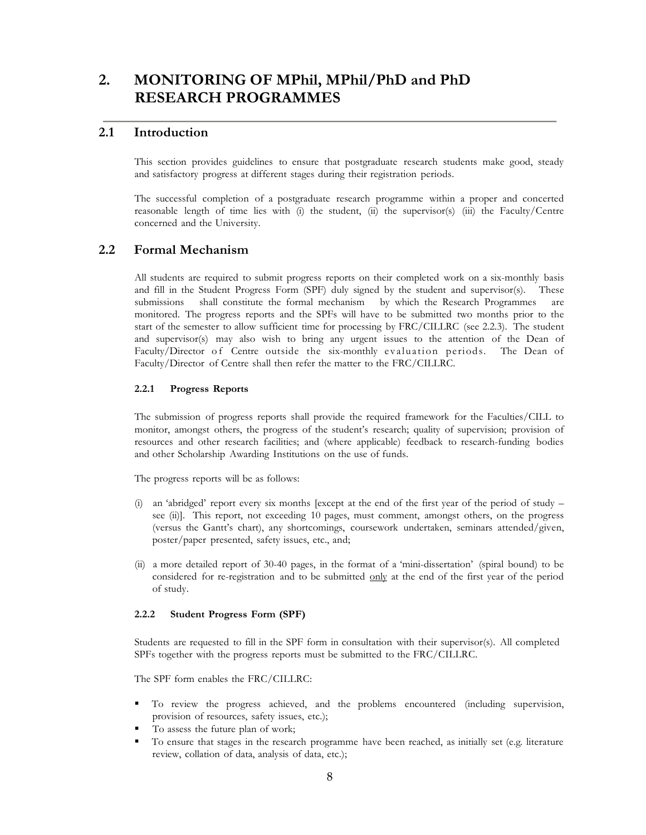# **2. MONITORING OF MPhil, MPhil/PhD and PhD RESEARCH PROGRAMMES**

## **2.1 Introduction**

This section provides guidelines to ensure that postgraduate research students make good, steady and satisfactory progress at different stages during their registration periods.

The successful completion of a postgraduate research programme within a proper and concerted reasonable length of time lies with (i) the student, (ii) the supervisor(s) (iii) the Faculty/Centre concerned and the University.

# **2.2 Formal Mechanism**

All students are required to submit progress reports on their completed work on a six-monthly basis and fill in the Student Progress Form (SPF) duly signed by the student and supervisor(s). These submissions shall constitute the formal mechanism by which the Research Programmes are monitored. The progress reports and the SPFs will have to be submitted two months prior to the start of the semester to allow sufficient time for processing by FRC/CILLRC (see 2.2.3). The student and supervisor(s) may also wish to bring any urgent issues to the attention of the Dean of Faculty/Director of Centre outside the six-monthly evaluation periods. The Dean of Faculty/Director of Centre shall then refer the matter to the FRC/CILLRC.

#### **2.2.1 Progress Reports**

The submission of progress reports shall provide the required framework for the Faculties/CILL to monitor, amongst others, the progress of the student's research; quality of supervision; provision of resources and other research facilities; and (where applicable) feedback to research-funding bodies and other Scholarship Awarding Institutions on the use of funds.

The progress reports will be as follows:

- (i) an 'abridged' report every six months [except at the end of the first year of the period of study see (ii)]. This report, not exceeding 10 pages, must comment, amongst others, on the progress (versus the Gantt's chart), any shortcomings, coursework undertaken, seminars attended/given, poster/paper presented, safety issues, etc., and;
- (ii) a more detailed report of 30-40 pages, in the format of a 'mini-dissertation' (spiral bound) to be considered for re-registration and to be submitted only at the end of the first year of the period of study.

#### **2.2.2 Student Progress Form (SPF)**

Students are requested to fill in the SPF form in consultation with their supervisor(s). All completed SPFs together with the progress reports must be submitted to the FRC/CILLRC.

The SPF form enables the FRC/CILLRC:

- To review the progress achieved, and the problems encountered (including supervision, provision of resources, safety issues, etc.);
- To assess the future plan of work;
- To ensure that stages in the research programme have been reached, as initially set (e.g*.* literature review, collation of data, analysis of data, etc.);